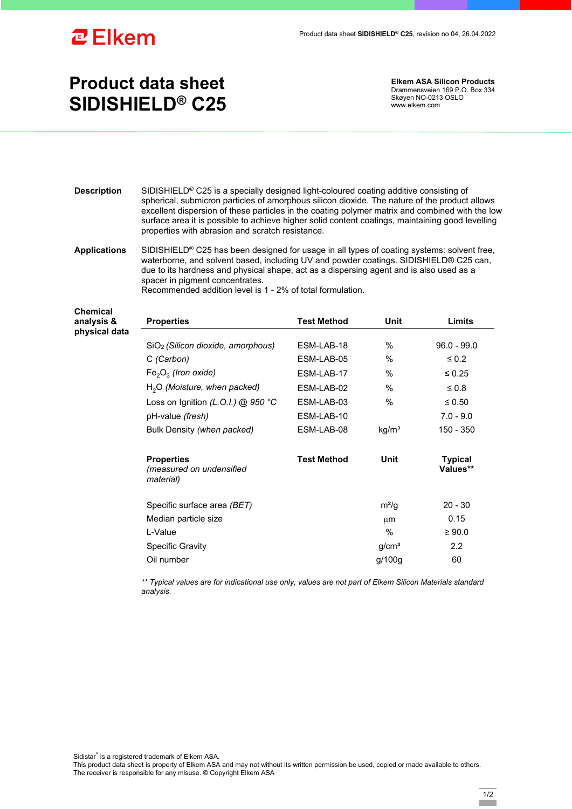

## **Product data sheet SIDISHIELD® C25**

**Elkem ASA Silicon Products**  Drammensveien 169 P.O. Box 334 Skøyen NO-0213 OSLO www.elkem.com

- **Description** SIDISHIELD® C25 is a specially designed light-coloured coating additive consisting of spherical, submicron particles of amorphous silicon dioxide. The nature of the product allows excellent dispersion of these particles in the coating polymer matrix and combined with the low surface area it is possible to achieve higher solid content coatings, maintaining good levelling properties with abrasion and scratch resistance.
- **Applications** SIDISHIELD® C25 has been designed for usage in all types of coating systems: solvent free, waterborne, and solvent based, including UV and powder coatings. SIDISHIELD® C25 can, due to its hardness and physical shape, act as a dispersing agent and is also used as a spacer in pigment concentrates. Recommended addition level is 1 - 2% of total formulation.

| <b>Chemical</b><br>analysis &<br>physical data | <b>Properties</b>                                          | <b>Test Method</b> | Unit              | Limits                     |
|------------------------------------------------|------------------------------------------------------------|--------------------|-------------------|----------------------------|
|                                                | SiO <sub>2</sub> (Silicon dioxide, amorphous)              | ESM-LAB-18         | $\%$              | $96.0 - 99.0$              |
|                                                | C (Carbon)                                                 | ESM-LAB-05         | $\%$              | $\leq 0.2$                 |
|                                                | $Fe2O3$ (Iron oxide)                                       | ESM-LAB-17         | $\%$              | $\leq 0.25$                |
|                                                | $H2O$ (Moisture, when packed)                              | ESM-LAB-02         | $\%$              | $\leq 0.8$                 |
|                                                | Loss on Ignition (L.O.I.) @ 950 °C                         | ESM-LAB-03         | $\%$              | $\leq 0.50$                |
|                                                | pH-value (fresh)                                           | ESM-LAB-10         |                   | $7.0 - 9.0$                |
|                                                | Bulk Density (when packed)                                 | ESM-LAB-08         | kg/m <sup>3</sup> | 150 - 350                  |
|                                                | <b>Properties</b><br>(measured on undensified<br>material) | <b>Test Method</b> | Unit              | <b>Typical</b><br>Values** |
|                                                | Specific surface area (BET)                                |                    | $m^2/q$           | $20 - 30$                  |
|                                                | Median particle size                                       |                    | $\mu$ m           | 0.15                       |
|                                                | L-Value                                                    |                    | $\%$              | $\geq 90.0$                |
|                                                | <b>Specific Gravity</b>                                    |                    | g/cm <sup>3</sup> | $2.2\phantom{0}$           |
|                                                | Oil number                                                 |                    | g/100g            | 60                         |

*\*\* Typical values are for indicational use only, values are not part of Elkem Silicon Materials standard analysis.* 

Sidistar® is a registered trademark of Elkem ASA.

This product data sheet is property of Elkem ASA and may not without its written permission be used, copied or made available to others. The receiver is responsible for any misuse. © Copyright Elkem ASA